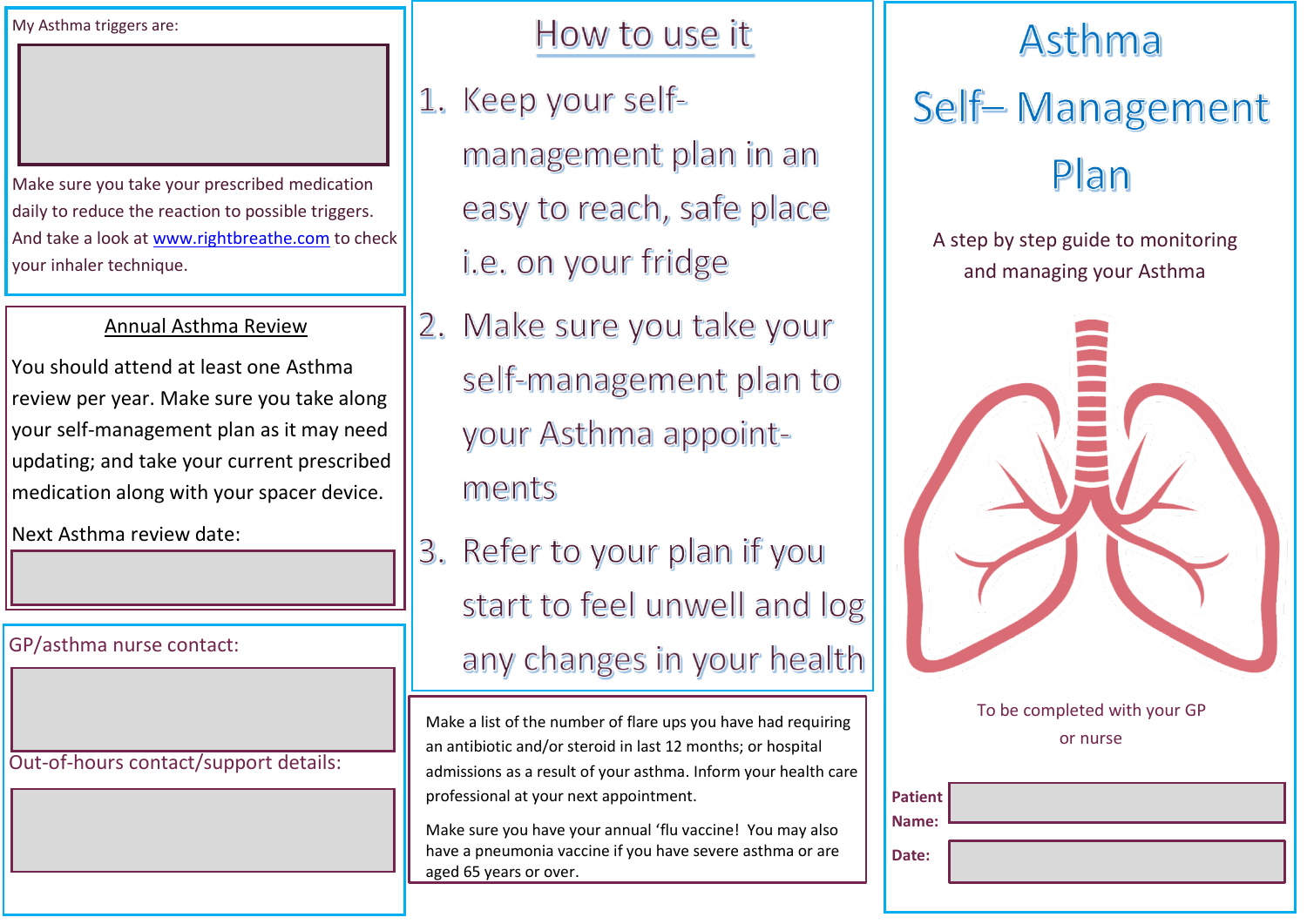My Asthma triggers are:

Make sure you take your prescribed medication daily to reduce the reaction to possible triggers. And take a look at [www.rightbreathe.com](http://www.rightbreathe.com/) to check your inhaler technique.

## Annual Asthma Review

You should attend at least one Asthma review per year. Make sure you take along your self-management plan as it may need updating; and take your current prescribed medication along with your spacer device.

Next Asthma review date:

GP/asthma nurse contact:

Out-of-hours contact/support details:

How to use it

- 1. Keep your selfmanagement plan in an easy to reach, safe place i.e. on your fridge
- 2. Make sure you take your self-management plan to your Asthma appointments
- 3. Refer to your plan if you start to feel unwell and log any changes in your health

Make a list of the number of flare ups you have had requiring an antibiotic and/or steroid in last 12 months; or hospital admissions as a result of your asthma. Inform your health care professional at your next appointment.

Make sure you have your annual 'flu vaccine! You may also have a pneumonia vaccine if you have severe asthma or are aged 65 years or over.

## Asthma

## Self-Management Plan

A step by step guide to monitoring and managing your Asthma



To be completed with your GP or nurse

| Patient<br>Name: |  |
|------------------|--|
| Date:            |  |
|                  |  |